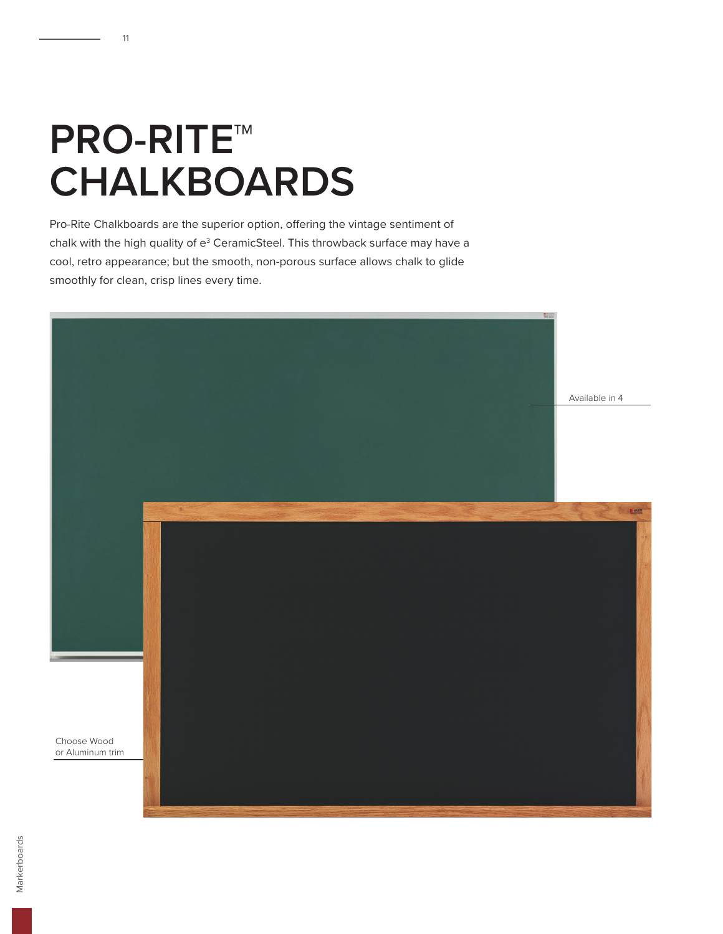## **PRO-RITE™ CHALKBOARDS**

11

Pro-Rite Chalkboards are the superior option, offering the vintage sentiment of chalk with the high quality of  $e^3$  CeramicSteel. This throwback surface may have a cool, retro appearance; but the smooth, non-porous surface allows chalk to glide smoothly for clean, crisp lines every time.